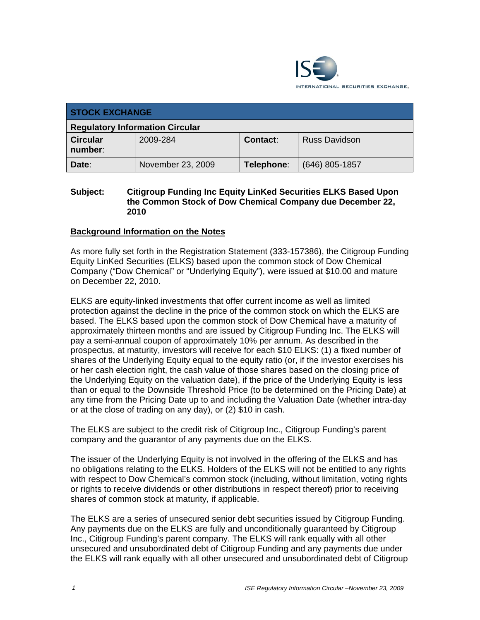

| <b>STOCK EXCHANGE</b>                  |                   |            |                      |  |  |
|----------------------------------------|-------------------|------------|----------------------|--|--|
| <b>Regulatory Information Circular</b> |                   |            |                      |  |  |
| <b>Circular</b><br>number:             | 2009-284          | Contact:   | <b>Russ Davidson</b> |  |  |
| Date:                                  | November 23, 2009 | Telephone: | $(646)$ 805-1857     |  |  |

#### **Subject: Citigroup Funding Inc Equity LinKed Securities ELKS Based Upon the Common Stock of Dow Chemical Company due December 22, 2010**

### **Background Information on the Notes**

As more fully set forth in the Registration Statement (333-157386), the Citigroup Funding Equity LinKed Securities (ELKS) based upon the common stock of Dow Chemical Company ("Dow Chemical" or "Underlying Equity"), were issued at \$10.00 and mature on December 22, 2010.

ELKS are equity-linked investments that offer current income as well as limited protection against the decline in the price of the common stock on which the ELKS are based. The ELKS based upon the common stock of Dow Chemical have a maturity of approximately thirteen months and are issued by Citigroup Funding Inc. The ELKS will pay a semi-annual coupon of approximately 10% per annum. As described in the prospectus, at maturity, investors will receive for each \$10 ELKS: (1) a fixed number of shares of the Underlying Equity equal to the equity ratio (or, if the investor exercises his or her cash election right, the cash value of those shares based on the closing price of the Underlying Equity on the valuation date), if the price of the Underlying Equity is less than or equal to the Downside Threshold Price (to be determined on the Pricing Date) at any time from the Pricing Date up to and including the Valuation Date (whether intra-day or at the close of trading on any day), or (2) \$10 in cash.

The ELKS are subject to the credit risk of Citigroup Inc., Citigroup Funding's parent company and the guarantor of any payments due on the ELKS.

The issuer of the Underlying Equity is not involved in the offering of the ELKS and has no obligations relating to the ELKS. Holders of the ELKS will not be entitled to any rights with respect to Dow Chemical's common stock (including, without limitation, voting rights or rights to receive dividends or other distributions in respect thereof) prior to receiving shares of common stock at maturity, if applicable.

The ELKS are a series of unsecured senior debt securities issued by Citigroup Funding. Any payments due on the ELKS are fully and unconditionally guaranteed by Citigroup Inc., Citigroup Funding's parent company. The ELKS will rank equally with all other unsecured and unsubordinated debt of Citigroup Funding and any payments due under the ELKS will rank equally with all other unsecured and unsubordinated debt of Citigroup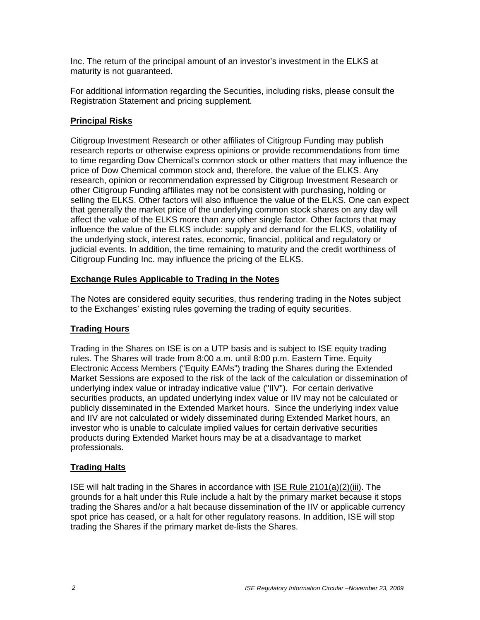Inc. The return of the principal amount of an investor's investment in the ELKS at maturity is not guaranteed.

For additional information regarding the Securities, including risks, please consult the Registration Statement and pricing supplement.

## **Principal Risks**

Citigroup Investment Research or other affiliates of Citigroup Funding may publish research reports or otherwise express opinions or provide recommendations from time to time regarding Dow Chemical's common stock or other matters that may influence the price of Dow Chemical common stock and, therefore, the value of the ELKS. Any research, opinion or recommendation expressed by Citigroup Investment Research or other Citigroup Funding affiliates may not be consistent with purchasing, holding or selling the ELKS. Other factors will also influence the value of the ELKS. One can expect that generally the market price of the underlying common stock shares on any day will affect the value of the ELKS more than any other single factor. Other factors that may influence the value of the ELKS include: supply and demand for the ELKS, volatility of the underlying stock, interest rates, economic, financial, political and regulatory or judicial events. In addition, the time remaining to maturity and the credit worthiness of Citigroup Funding Inc. may influence the pricing of the ELKS.

## **Exchange Rules Applicable to Trading in the Notes**

The Notes are considered equity securities, thus rendering trading in the Notes subject to the Exchanges' existing rules governing the trading of equity securities.

## **Trading Hours**

Trading in the Shares on ISE is on a UTP basis and is subject to ISE equity trading rules. The Shares will trade from 8:00 a.m. until 8:00 p.m. Eastern Time. Equity Electronic Access Members ("Equity EAMs") trading the Shares during the Extended Market Sessions are exposed to the risk of the lack of the calculation or dissemination of underlying index value or intraday indicative value ("IIV"). For certain derivative securities products, an updated underlying index value or IIV may not be calculated or publicly disseminated in the Extended Market hours. Since the underlying index value and IIV are not calculated or widely disseminated during Extended Market hours, an investor who is unable to calculate implied values for certain derivative securities products during Extended Market hours may be at a disadvantage to market professionals.

### **Trading Halts**

ISE will halt trading in the Shares in accordance with ISE Rule 2101(a)(2)(iii). The grounds for a halt under this Rule include a halt by the primary market because it stops trading the Shares and/or a halt because dissemination of the IIV or applicable currency spot price has ceased, or a halt for other regulatory reasons. In addition, ISE will stop trading the Shares if the primary market de-lists the Shares.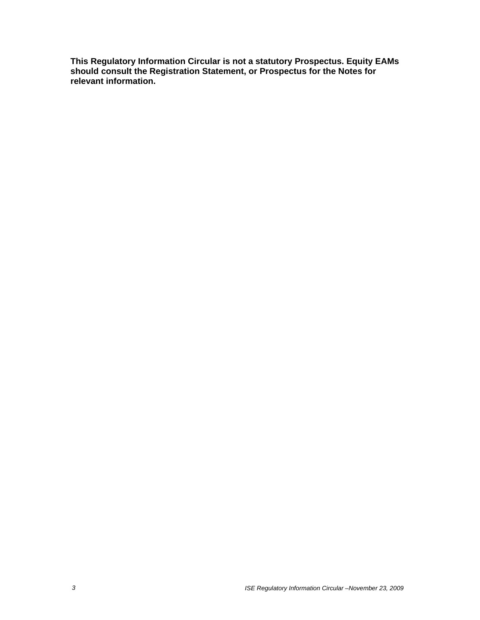**This Regulatory Information Circular is not a statutory Prospectus. Equity EAMs should consult the Registration Statement, or Prospectus for the Notes for relevant information.**